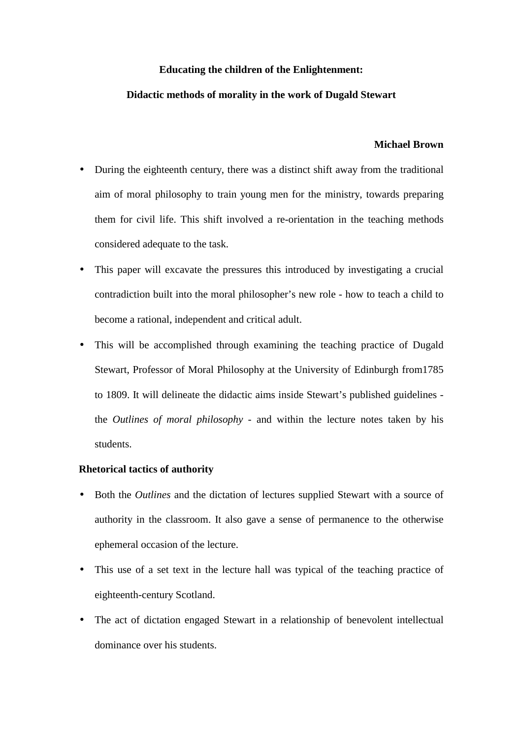## **Educating the children of the Enlightenment:**

## **Didactic methods of morality in the work of Dugald Stewart**

### **Michael Brown**

- During the eighteenth century, there was a distinct shift away from the traditional aim of moral philosophy to train young men for the ministry, towards preparing them for civil life. This shift involved a re-orientation in the teaching methods considered adequate to the task.
- This paper will excavate the pressures this introduced by investigating a crucial contradiction built into the moral philosopher's new role - how to teach a child to become a rational, independent and critical adult.
- This will be accomplished through examining the teaching practice of Dugald Stewart, Professor of Moral Philosophy at the University of Edinburgh from1785 to 1809. It will delineate the didactic aims inside Stewart's published guidelines the *Outlines of moral philosophy* - and within the lecture notes taken by his students.

# **Rhetorical tactics of authority**

- Both the *Outlines* and the dictation of lectures supplied Stewart with a source of authority in the classroom. It also gave a sense of permanence to the otherwise ephemeral occasion of the lecture.
- This use of a set text in the lecture hall was typical of the teaching practice of eighteenth-century Scotland.
- The act of dictation engaged Stewart in a relationship of benevolent intellectual dominance over his students.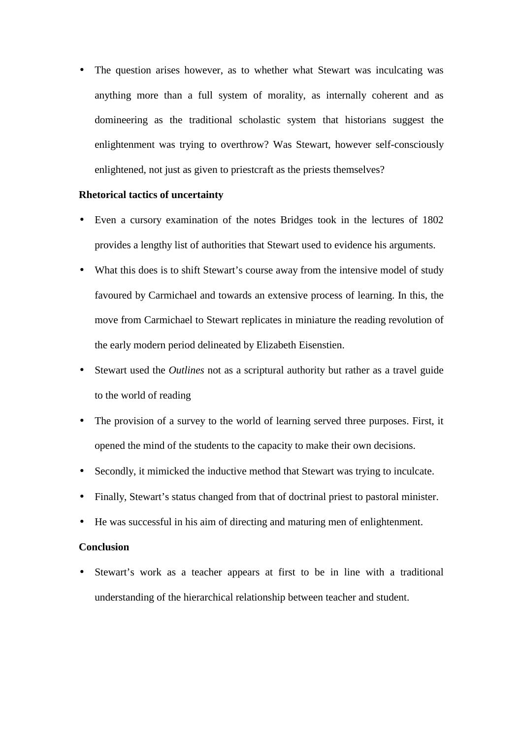• The question arises however, as to whether what Stewart was inculcating was anything more than a full system of morality, as internally coherent and as domineering as the traditional scholastic system that historians suggest the enlightenment was trying to overthrow? Was Stewart, however self-consciously enlightened, not just as given to priestcraft as the priests themselves?

### **Rhetorical tactics of uncertainty**

- Even a cursory examination of the notes Bridges took in the lectures of 1802 provides a lengthy list of authorities that Stewart used to evidence his arguments.
- What this does is to shift Stewart's course away from the intensive model of study favoured by Carmichael and towards an extensive process of learning. In this, the move from Carmichael to Stewart replicates in miniature the reading revolution of the early modern period delineated by Elizabeth Eisenstien.
- Stewart used the *Outlines* not as a scriptural authority but rather as a travel guide to the world of reading
- The provision of a survey to the world of learning served three purposes. First, it opened the mind of the students to the capacity to make their own decisions.
- Secondly, it mimicked the inductive method that Stewart was trying to inculcate.
- Finally, Stewart's status changed from that of doctrinal priest to pastoral minister.
- He was successful in his aim of directing and maturing men of enlightenment.

#### **Conclusion**

Stewart's work as a teacher appears at first to be in line with a traditional understanding of the hierarchical relationship between teacher and student.